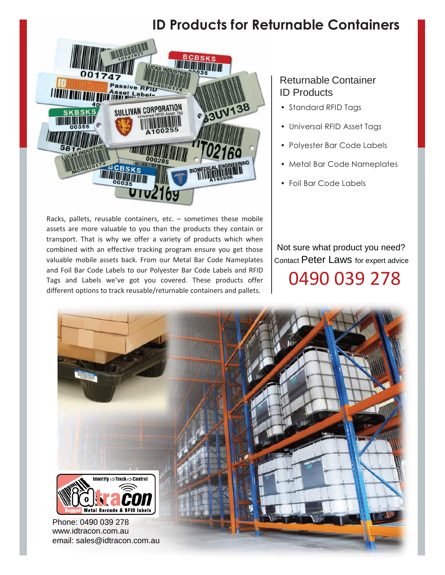# **ID Products for Returnable Containers**



Racks, pallets, reusable containers, etc. – sometimes these mobile assets are more valuable to you than the products they contain or transport. That is why we offer a variety of products which when combined with an effective tracking program ensure you get those valuable mobile assets back. From our Metal Bar Code Nameplates and Foil Bar Code Labels to our Polyester Bar Code Labels and RFID Tags and Labels we've got you covered. These products offer different options to track reusable/returnable containers and pallets.

### Returnable Container ID Products

- Standard RFID Tags
- Universal RFID Asset Tags
- Polyester Bar Code Labels
- Metal Bar Code Nameplates
- Foil Bar Code Labels

Not sure what product you need? Contact Peter Laws for expert advice 0490 039 278